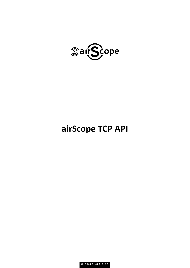

# **airScope TCP API**

airscope-audio.net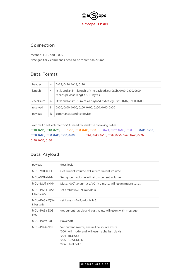

#### **Connection**

method: TCP, port: 8899 time gap for 2 commands need to be more than 200ms

### Data Format

| header   | 4 | 0x18, 0x96, 0x18, 0x20                                                                                    |
|----------|---|-----------------------------------------------------------------------------------------------------------|
| length   | 4 | little endian int, length of the payload.eg: 0x0b, 0x00, 0x00, 0x00,<br>means payload length is 11 bytes. |
| checksum | 4 | lit t le endian int, sum of all payload bytes.eg: 0xc1, 0x02, 0x00, 0x00                                  |
| reserved | 8 | 0x00, 0x00, 0x00, 0x00, 0x00, 0x00, 0x00, 0x00                                                            |
| payload  | N | commands send to device.                                                                                  |

Example to set volume to 50%, need to send the following bytes:

0x18, 0x96, 0x18, 0x20, 0x0b, 0x00, 0x00, 0x00, 0xc1, 0x02, 0x00, 0x00, 0x00, 0x00, 0x00, 0x00, 0x00, 0x00, 0x00, 0x00, 0x00, 0x4d, 0x43, 0x55, 0x2b, 0x56, 0x4f, 0x4c, 0x2b, 0x30, 0x35, 0x30

#### Data Payload

| payload                     | description                                                                                                                                                          |
|-----------------------------|----------------------------------------------------------------------------------------------------------------------------------------------------------------------|
| MCU+VOL+GET                 | Get current volume, will ret urn current volume                                                                                                                      |
| MCU+VOL+NNN                 | Set system volume, will return current volume                                                                                                                        |
| $MCU+MUT+NNN$               | Mute, '000' to unmute, '001' to mute, will return mute status                                                                                                        |
| MCU+PAS+EQSe<br>t:treble:n& | set treble: $n=0-9$ , middle is 5.                                                                                                                                   |
| MCU+PAS+EQSe<br>t:bass:n&   | set bass: $n=0-9$ , middle is 5.                                                                                                                                     |
| MCU+PAS+EQG<br>et &         | get current treble and bass value, will return with message                                                                                                          |
| MCU+POW+OFF                 | Power off                                                                                                                                                            |
| $MCU + PI M + NNN$          | Set current source, ensure the source exists.<br>'000': wifi mode, and will resume the last playlist<br>'004': local USB<br>'005': AUX/LINE-IN<br>'006': Bluet oot h |

airscope-audio.net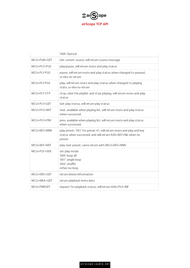

|             | '008': Optical                                                                                                                                |
|-------------|-----------------------------------------------------------------------------------------------------------------------------------------------|
| MCU+PLM+GET | Get current source, will ret urn source message                                                                                               |
| MCU+PLY+PUS | play/pause, will ret urn mute and play status                                                                                                 |
| MCU+PLY-PUS | pause, will ret urn mute and play status when changed to paused,<br>or else no ret urn                                                        |
| MCU+PLY-PLA | play, will return mute and play status when changed to playing<br>state, or else no return                                                    |
| MCU+PIY-STP | stop, clear the playlist and stop playing, will return mute and play<br>status                                                                |
| MCU+PLY+GET | Get play status, will return play status                                                                                                      |
| MCU+PLY+NXT | next, available when playing list, will return mute and play status<br>when successed.                                                        |
| MCU+PLY+PRV | prev, available when playing list, will return mute and play status<br>when successed.                                                        |
| MCU+KEY+NNN | play preset, '001' for preset #1, will ret urn mute and play and key<br>status when successed, and will return AXX+KEY+NIL when no<br>preset. |
| MCU+KEY+NXT | play next preset, same ret urn with MCU+KEY+NNN                                                                                               |
| MCU+PLP+XXX | set play mode<br>'000': loop all<br>'001': single loop<br>'002': shuffle<br>other: no loop                                                    |
| MCU+DFV+GFT | ret urn device information                                                                                                                    |
| MCU+MEA+GET | ret urn playback met a dat a                                                                                                                  |
| MCU+PINFGET | request for playback status, will return AXX+PLY+INF                                                                                          |